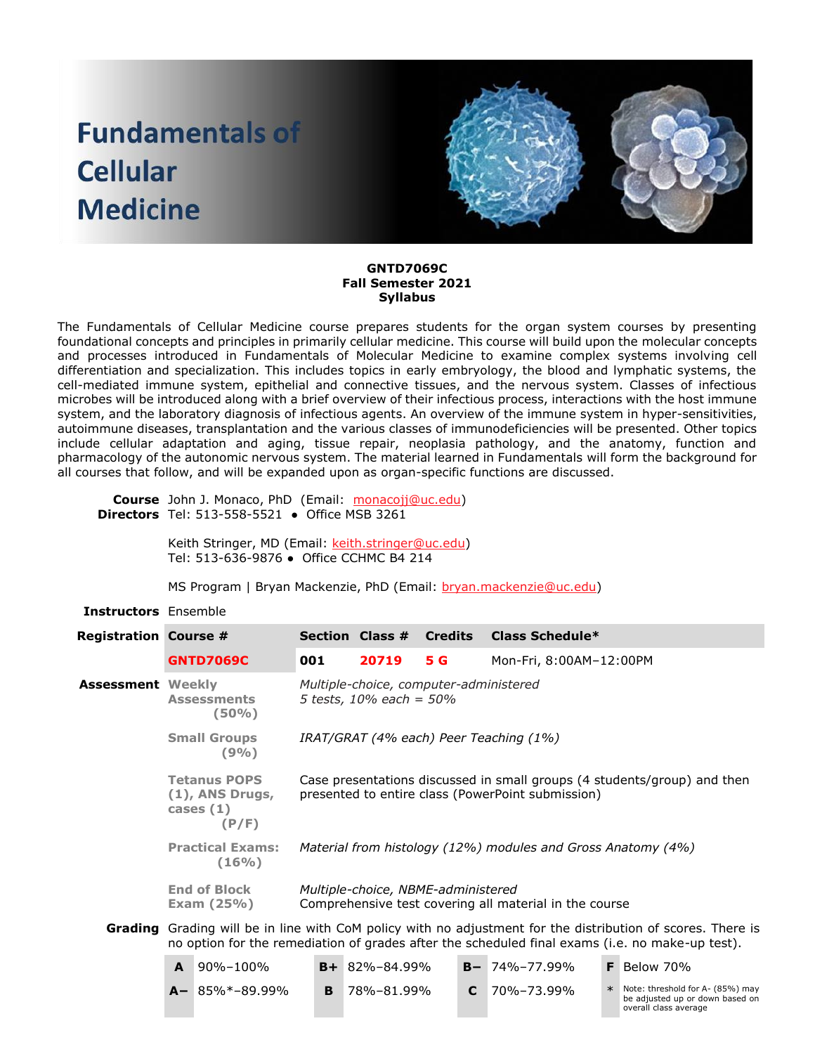# **Fundamentals of Cellular Medicine**



# **GNTD7069C Fall Semester 2021 Syllabus**

The Fundamentals of Cellular Medicine course prepares students for the organ system courses by presenting foundational concepts and principles in primarily cellular medicine. This course will build upon the molecular concepts and processes introduced in Fundamentals of Molecular Medicine to examine complex systems involving cell differentiation and specialization. This includes topics in early embryology, the blood and lymphatic systems, the cell-mediated immune system, epithelial and connective tissues, and the nervous system. Classes of infectious microbes will be introduced along with a brief overview of their infectious process, interactions with the host immune system, and the laboratory diagnosis of infectious agents. An overview of the immune system in hyper-sensitivities, autoimmune diseases, transplantation and the various classes of immunodeficiencies will be presented. Other topics include cellular adaptation and aging, tissue repair, neoplasia pathology, and the anatomy, function and pharmacology of the autonomic nervous system. The material learned in Fundamentals will form the background for all courses that follow, and will be expanded upon as organ-specific functions are discussed.

**Course**  John J. Monaco, PhD (Email: [monacojj@uc.edu\)](mailto:monacojj@uc.edu) **Directors** Tel: 513-558-5521 ● Office MSB 3261

> Keith Stringer, MD (Email: [keith.stringer@uc.edu\)](mailto:keith.stringer@uc.edu) Tel: 513-636-9876 ● Office CCHMC B4 214

MS Program | Bryan Mackenzie, PhD (Email: [bryan.mackenzie@uc.edu\)](mailto:bryan.mackenzie@uc.edu)

# **Instructors** Ensemble

| <b>Registration Course #</b> |                                                                                                                                                                                                                       |                                                                   | <b>Section Class #</b>                                                                                                                                                                                                                             |                                                              | <b>Credits</b> | Class Schedule*         |               |  |  |  |
|------------------------------|-----------------------------------------------------------------------------------------------------------------------------------------------------------------------------------------------------------------------|-------------------------------------------------------------------|----------------------------------------------------------------------------------------------------------------------------------------------------------------------------------------------------------------------------------------------------|--------------------------------------------------------------|----------------|-------------------------|---------------|--|--|--|
|                              |                                                                                                                                                                                                                       | <b>GNTD7069C</b>                                                  | 001                                                                                                                                                                                                                                                | 20719                                                        | 5 G            | Mon-Fri, 8:00AM-12:00PM |               |  |  |  |
| <b>Assessment Weekly</b>     |                                                                                                                                                                                                                       | <b>Assessments</b><br>(50%)                                       | Multiple-choice, computer-administered<br>5 tests, $10\%$ each = $50\%$<br>IRAT/GRAT (4% each) Peer Teaching (1%)<br>Case presentations discussed in small groups (4 students/group) and then<br>presented to entire class (PowerPoint submission) |                                                              |                |                         |               |  |  |  |
|                              |                                                                                                                                                                                                                       | <b>Small Groups</b><br>(9%)                                       |                                                                                                                                                                                                                                                    |                                                              |                |                         |               |  |  |  |
|                              |                                                                                                                                                                                                                       | <b>Tetanus POPS</b><br>$(1)$ , ANS Drugs,<br>cases $(1)$<br>(P/F) |                                                                                                                                                                                                                                                    |                                                              |                |                         |               |  |  |  |
|                              |                                                                                                                                                                                                                       | <b>Practical Exams:</b><br>(16% )                                 |                                                                                                                                                                                                                                                    | Material from histology (12%) modules and Gross Anatomy (4%) |                |                         |               |  |  |  |
|                              | <b>End of Block</b><br>Exam $(25%)$                                                                                                                                                                                   |                                                                   | Multiple-choice, NBME-administered<br>Comprehensive test covering all material in the course                                                                                                                                                       |                                                              |                |                         |               |  |  |  |
|                              | <b>Grading</b> Grading will be in line with CoM policy with no adjustment for the distribution of scores. There is<br>no option for the remediation of grades after the scheduled final exams (i.e. no make-up test). |                                                                   |                                                                                                                                                                                                                                                    |                                                              |                |                         |               |  |  |  |
|                              | A                                                                                                                                                                                                                     | 90%-100%                                                          |                                                                                                                                                                                                                                                    | $B + 82\% - 84.99\%$                                         |                | $B - 74\% - 77.99\%$    | $F$ Below 70% |  |  |  |

| $A$ $30/0 - 100/0$   | $UT$ 02/0 <sup>-07</sup> , 22/0 | $D = 7 + 70 - 77.7770$ | $\blacksquare$ DCIVIV / V                                                                        |
|----------------------|---------------------------------|------------------------|--------------------------------------------------------------------------------------------------|
| $A - 85\% - 89.99\%$ | 78%-81.99%                      | $C = 70\% - 73.99\%$   | $*$ Note: threshold for A- (85%) may<br>be adjusted up or down based on<br>overall class average |